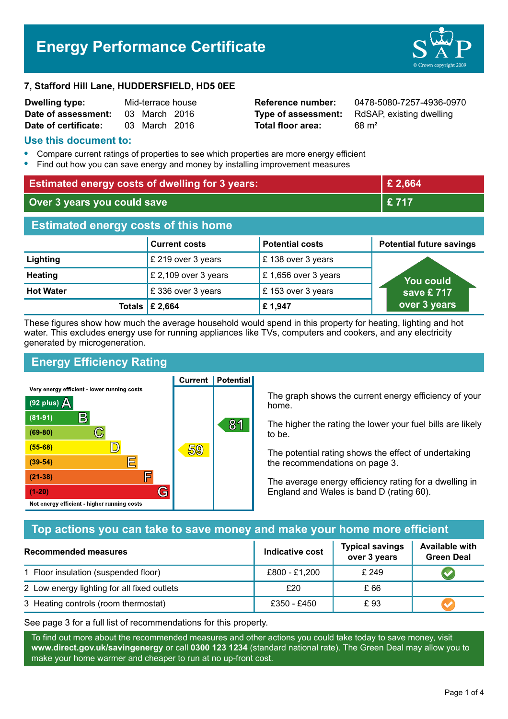# **Energy Performance Certificate**



#### **7, Stafford Hill Lane, HUDDERSFIELD, HD5 0EE**

| <b>Dwelling type:</b> | Mid-terrace house |               |  |
|-----------------------|-------------------|---------------|--|
| Date of assessment:   |                   | 03 March 2016 |  |
| Date of certificate:  |                   | 03 March 2016 |  |

**Total floor area:** 68 m<sup>2</sup>

**Reference number:** 0478-5080-7257-4936-0970 **Type of assessment:** RdSAP, existing dwelling

#### **Use this document to:**

- **•** Compare current ratings of properties to see which properties are more energy efficient
- **•** Find out how you can save energy and money by installing improvement measures

| <b>Estimated energy costs of dwelling for 3 years:</b> |                            |                        | £ 2,664                         |
|--------------------------------------------------------|----------------------------|------------------------|---------------------------------|
| Over 3 years you could save                            |                            | £717                   |                                 |
| <b>Estimated energy costs of this home</b>             |                            |                        |                                 |
|                                                        | <b>Current costs</b>       | <b>Potential costs</b> | <b>Potential future savings</b> |
| Lighting                                               | £ 219 over 3 years         | £138 over 3 years      |                                 |
| <b>Heating</b>                                         | £ 2,109 over 3 years       | £ 1,656 over 3 years   | <b>You could</b>                |
| <b>Hot Water</b>                                       | £336 over 3 years          | £153 over 3 years      | save £717                       |
|                                                        | Totals $\mathsf{\&}$ 2,664 | £1,947                 | over 3 years                    |

These figures show how much the average household would spend in this property for heating, lighting and hot water. This excludes energy use for running appliances like TVs, computers and cookers, and any electricity generated by microgeneration.

**Current | Potential** 

# **Energy Efficiency Rating**

Very energy efficient - lower running costs



The graph shows the current energy efficiency of your home.

The higher the rating the lower your fuel bills are likely to be.

The potential rating shows the effect of undertaking the recommendations on page 3.

The average energy efficiency rating for a dwelling in England and Wales is band D (rating 60).

# **Top actions you can take to save money and make your home more efficient**

| Recommended measures                        | Indicative cost | <b>Typical savings</b><br>over 3 years | <b>Available with</b><br><b>Green Deal</b> |
|---------------------------------------------|-----------------|----------------------------------------|--------------------------------------------|
| 1 Floor insulation (suspended floor)        | £800 - £1,200   | £249                                   |                                            |
| 2 Low energy lighting for all fixed outlets | £20             | £ 66                                   |                                            |
| 3 Heating controls (room thermostat)        | £350 - £450     | £ 93                                   |                                            |

See page 3 for a full list of recommendations for this property.

To find out more about the recommended measures and other actions you could take today to save money, visit **www.direct.gov.uk/savingenergy** or call **0300 123 1234** (standard national rate). The Green Deal may allow you to make your home warmer and cheaper to run at no up-front cost.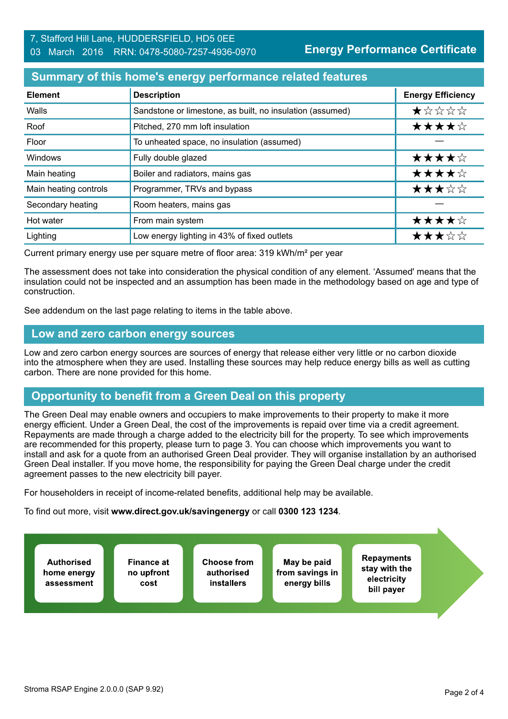#### **Summary of this home's energy performance related features**

| <b>Element</b>        | <b>Description</b>                                        | <b>Energy Efficiency</b> |
|-----------------------|-----------------------------------------------------------|--------------------------|
| Walls                 | Sandstone or limestone, as built, no insulation (assumed) | $\star$ * * * *          |
| Roof                  | Pitched, 270 mm loft insulation                           | ★★★★☆                    |
| Floor                 | To unheated space, no insulation (assumed)                |                          |
| <b>Windows</b>        | Fully double glazed                                       | ★★★★☆                    |
| Main heating          | Boiler and radiators, mains gas                           | ★★★★☆                    |
| Main heating controls | Programmer, TRVs and bypass                               | ★★★☆☆                    |
| Secondary heating     | Room heaters, mains gas                                   |                          |
| Hot water             | From main system                                          | ★★★★☆                    |
| Lighting              | Low energy lighting in 43% of fixed outlets               | ★★★☆☆                    |

Current primary energy use per square metre of floor area: 319 kWh/m² per year

The assessment does not take into consideration the physical condition of any element. 'Assumed' means that the insulation could not be inspected and an assumption has been made in the methodology based on age and type of construction.

See addendum on the last page relating to items in the table above.

#### **Low and zero carbon energy sources**

Low and zero carbon energy sources are sources of energy that release either very little or no carbon dioxide into the atmosphere when they are used. Installing these sources may help reduce energy bills as well as cutting carbon. There are none provided for this home.

# **Opportunity to benefit from a Green Deal on this property**

The Green Deal may enable owners and occupiers to make improvements to their property to make it more energy efficient. Under a Green Deal, the cost of the improvements is repaid over time via a credit agreement. Repayments are made through a charge added to the electricity bill for the property. To see which improvements are recommended for this property, please turn to page 3. You can choose which improvements you want to install and ask for a quote from an authorised Green Deal provider. They will organise installation by an authorised Green Deal installer. If you move home, the responsibility for paying the Green Deal charge under the credit agreement passes to the new electricity bill payer.

For householders in receipt of income-related benefits, additional help may be available.

To find out more, visit **www.direct.gov.uk/savingenergy** or call **0300 123 1234**.

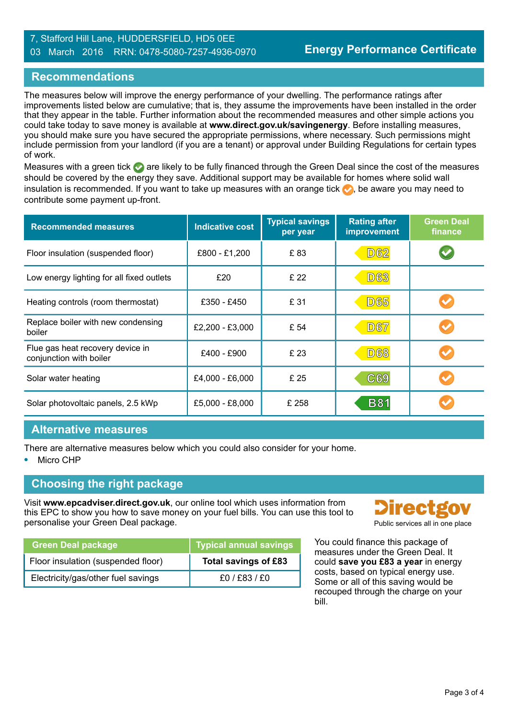#### 7, Stafford Hill Lane, HUDDERSFIELD, HD5 0EE 03 March 2016 RRN: 0478-5080-7257-4936-0970

## **Recommendations**

The measures below will improve the energy performance of your dwelling. The performance ratings after improvements listed below are cumulative; that is, they assume the improvements have been installed in the order that they appear in the table. Further information about the recommended measures and other simple actions you could take today to save money is available at **www.direct.gov.uk/savingenergy**. Before installing measures, you should make sure you have secured the appropriate permissions, where necessary. Such permissions might include permission from your landlord (if you are a tenant) or approval under Building Regulations for certain types of work.

Measures with a green tick are likely to be fully financed through the Green Deal since the cost of the measures should be covered by the energy they save. Additional support may be available for homes where solid wall insulation is recommended. If you want to take up measures with an orange tick  $\bullet$ , be aware you may need to contribute some payment up-front.

| <b>Recommended measures</b>                                 | <b>Indicative cost</b> | <b>Typical savings</b><br>per year | <b>Rating after</b><br>improvement | <b>Green Deal</b><br>finance |
|-------------------------------------------------------------|------------------------|------------------------------------|------------------------------------|------------------------------|
| Floor insulation (suspended floor)                          | £800 - £1,200          | £83                                | <b>D62</b>                         |                              |
| Low energy lighting for all fixed outlets                   | £20                    | £ 22                               | <b>D63</b>                         |                              |
| Heating controls (room thermostat)                          | £350 - £450            | £ 31                               | <b>D65</b>                         |                              |
| Replace boiler with new condensing<br>boiler                | £2,200 - £3,000        | £ 54                               | <b>D67</b>                         |                              |
| Flue gas heat recovery device in<br>conjunction with boiler | £400 - £900            | £ 23                               | <b>D68</b>                         |                              |
| Solar water heating                                         | £4,000 - £6,000        | £ 25                               | C69                                |                              |
| Solar photovoltaic panels, 2.5 kWp                          | £5,000 - £8,000        | £ 258                              | <b>B81</b>                         |                              |

#### **Alternative measures**

There are alternative measures below which you could also consider for your home.

**•** Micro CHP

# **Choosing the right package**

Visit **www.epcadviser.direct.gov.uk**, our online tool which uses information from this EPC to show you how to save money on your fuel bills. You can use this tool to personalise your Green Deal package. **Public services** all in one place

| <b>Green Deal package</b>          | Typical annual savings |
|------------------------------------|------------------------|
| Floor insulation (suspended floor) | Total savings of £83   |
| Electricity/gas/other fuel savings | f0/fs3/fi              |



You could finance this package of measures under the Green Deal. It could **save you £83 a year** in energy costs, based on typical energy use. Some or all of this saving would be recouped through the charge on your bill.